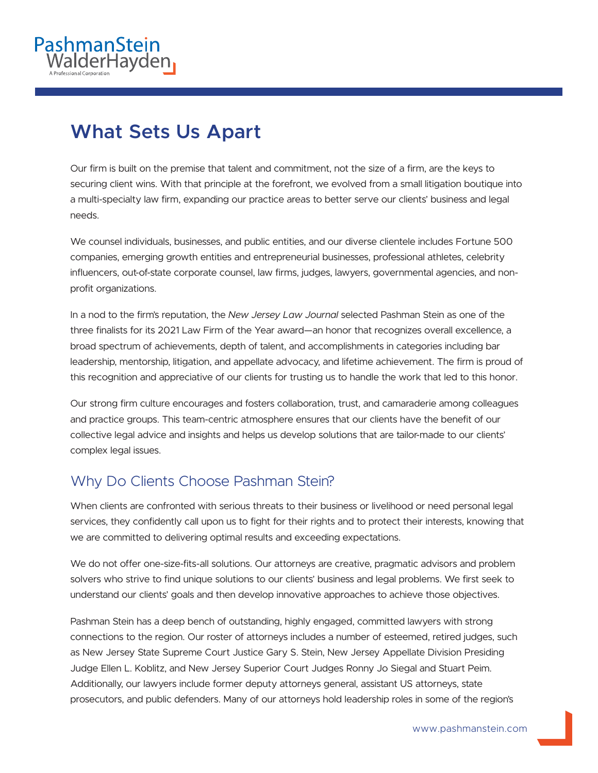

## **What Sets Us Apart**

Our firm is built on the premise that talent and commitment, not the size of a firm, are the keys to securing client wins. With that principle at the forefront, we evolved from a small litigation boutique into a multi-specialty law firm, expanding our practice areas to better serve our clients' business and legal needs.

We counsel individuals, businesses, and public entities, and our diverse clientele includes Fortune 500 companies, emerging growth entities and entrepreneurial businesses, professional athletes, celebrity influencers, out-of-state corporate counsel, law firms, judges, lawyers, governmental agencies, and nonprofit organizations.

In a nod to the firm's reputation, the *New Jersey Law Journal* selected Pashman Stein as one of the three finalists for its 2021 Law Firm of the Year award—an honor that recognizes overall excellence, a broad spectrum of achievements, depth of talent, and accomplishments in categories including bar leadership, mentorship, litigation, and appellate advocacy, and lifetime achievement. The firm is proud of this recognition and appreciative of our clients for trusting us to handle the work that led to this honor.

Our strong firm culture encourages and fosters collaboration, trust, and camaraderie among colleagues and practice groups. This team-centric atmosphere ensures that our clients have the benefit of our collective legal advice and insights and helps us develop solutions that are tailor-made to our clients' complex legal issues.

## Why Do Clients Choose Pashman Stein?

When clients are confronted with serious threats to their business or livelihood or need personal legal services, they confidently call upon us to fight for their rights and to protect their interests, knowing that we are committed to delivering optimal results and exceeding expectations.

We do not offer one-size-fits-all solutions. Our attorneys are creative, pragmatic advisors and problem solvers who strive to find unique solutions to our clients' business and legal problems. We first seek to understand our clients' goals and then develop innovative approaches to achieve those objectives.

Pashman Stein has a deep bench of outstanding, highly engaged, committed lawyers with strong connections to the region. Our roster of attorneys includes a number of esteemed, retired judges, such as New Jersey State Supreme Court Justice Gary S. Stein, New Jersey Appellate Division Presiding Judge Ellen L. Koblitz, and New Jersey Superior Court Judges Ronny Jo Siegal and Stuart Peim. Additionally, our lawyers include former deputy attorneys general, assistant US attorneys, state prosecutors, and public defenders. Many of our attorneys hold leadership roles in some of the region's